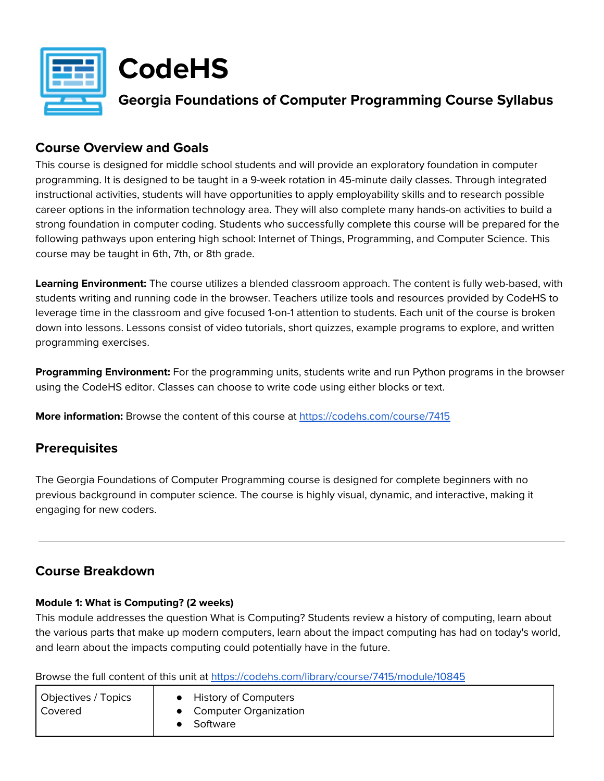

# **CodeHS**

**Georgia Foundations of Computer Programming Course Syllabus**

## **Course Overview and Goals**

This course is designed for middle school students and will provide an exploratory foundation in computer programming. It is designed to be taught in a 9-week rotation in 45-minute daily classes. Through integrated instructional activities, students will have opportunities to apply employability skills and to research possible career options in the information technology area. They will also complete many hands-on activities to build a strong foundation in computer coding. Students who successfully complete this course will be prepared for the following pathways upon entering high school: Internet of Things, Programming, and Computer Science. This course may be taught in 6th, 7th, or 8th grade.

**Learning Environment:** The course utilizes a blended classroom approach. The content is fully web-based, with students writing and running code in the browser. Teachers utilize tools and resources provided by CodeHS to leverage time in the classroom and give focused 1-on-1 attention to students. Each unit of the course is broken down into lessons. Lessons consist of video tutorials, short quizzes, example programs to explore, and written programming exercises.

**Programming Environment:** For the programming units, students write and run Python programs in the browser using the CodeHS editor. Classes can choose to write code using either blocks or text.

**More information:** Browse the content of this course at <https://codehs.com/course/7415>

## **Prerequisites**

The Georgia Foundations of Computer Programming course is designed for complete beginners with no previous background in computer science. The course is highly visual, dynamic, and interactive, making it engaging for new coders.

## **Course Breakdown**

### **Module 1: What is Computing? (2 weeks)**

This module addresses the question What is Computing? Students review a history of computing, learn about the various parts that make up modern computers, learn about the impact computing has had on today's world, and learn about the impacts computing could potentially have in the future.

Browse the full content of this unit at <https://codehs.com/library/course/7415/module/10845>

| Objectives / Topics<br>Covered | <b>History of Computers</b><br>• Computer Organization<br>Software |
|--------------------------------|--------------------------------------------------------------------|
|--------------------------------|--------------------------------------------------------------------|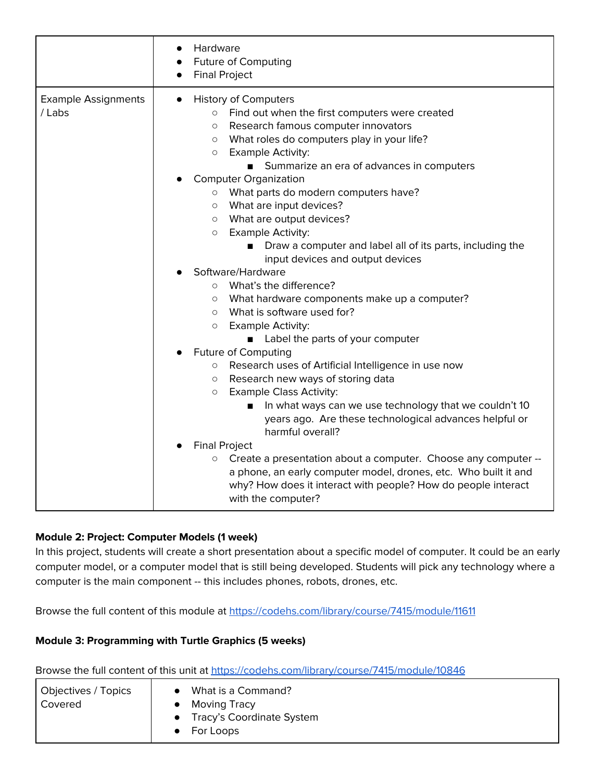| Hardware<br><b>Future of Computing</b><br><b>Final Project</b>                                                                                                                                                                                                                                                                                                                                                                                                                                                                                                                                                                                                                                                                                                                                                                                                                                                                                                                                                                                                                                                                                                                                                                                                                                                                                                                                                                          |
|-----------------------------------------------------------------------------------------------------------------------------------------------------------------------------------------------------------------------------------------------------------------------------------------------------------------------------------------------------------------------------------------------------------------------------------------------------------------------------------------------------------------------------------------------------------------------------------------------------------------------------------------------------------------------------------------------------------------------------------------------------------------------------------------------------------------------------------------------------------------------------------------------------------------------------------------------------------------------------------------------------------------------------------------------------------------------------------------------------------------------------------------------------------------------------------------------------------------------------------------------------------------------------------------------------------------------------------------------------------------------------------------------------------------------------------------|
| <b>History of Computers</b><br>$\bullet$<br>Find out when the first computers were created<br>$\circ$<br>Research famous computer innovators<br>$\circ$<br>What roles do computers play in your life?<br>$\circ$<br><b>Example Activity:</b><br>$\circ$<br>Summarize an era of advances in computers<br><b>Computer Organization</b><br>o What parts do modern computers have?<br>What are input devices?<br>$\circ$<br>o What are output devices?<br><b>Example Activity:</b><br>$\circ$<br>Draw a computer and label all of its parts, including the<br>■<br>input devices and output devices<br>Software/Hardware<br>What's the difference?<br>$\circ$<br>What hardware components make up a computer?<br>$\circ$<br>What is software used for?<br>$\circ$<br><b>Example Activity:</b><br>$\circ$<br>• Label the parts of your computer<br>Future of Computing<br>Research uses of Artificial Intelligence in use now<br>$\circ$<br>Research new ways of storing data<br>$\circ$<br><b>Example Class Activity:</b><br>$\circ$<br>In what ways can we use technology that we couldn't 10<br>years ago. Are these technological advances helpful or<br>harmful overall?<br><b>Final Project</b><br>Create a presentation about a computer. Choose any computer --<br>$\circ$<br>a phone, an early computer model, drones, etc. Who built it and<br>why? How does it interact with people? How do people interact<br>with the computer? |
|                                                                                                                                                                                                                                                                                                                                                                                                                                                                                                                                                                                                                                                                                                                                                                                                                                                                                                                                                                                                                                                                                                                                                                                                                                                                                                                                                                                                                                         |

#### **Module 2: Project: Computer Models (1 week)**

In this project, students will create a short presentation about a specific model of computer. It could be an early computer model, or a computer model that is still being developed. Students will pick any technology where a computer is the main component -- this includes phones, robots, drones, etc.

Browse the full content of this module at <https://codehs.com/library/course/7415/module/11611>

#### **Module 3: Programming with Turtle Graphics (5 weeks)**

Browse the full content of this unit at <https://codehs.com/library/course/7415/module/10846>

| What is a Command?                     |
|----------------------------------------|
| Moving Tracy                           |
| Tracy's Coordinate System<br>$\bullet$ |
| For Loops                              |
|                                        |